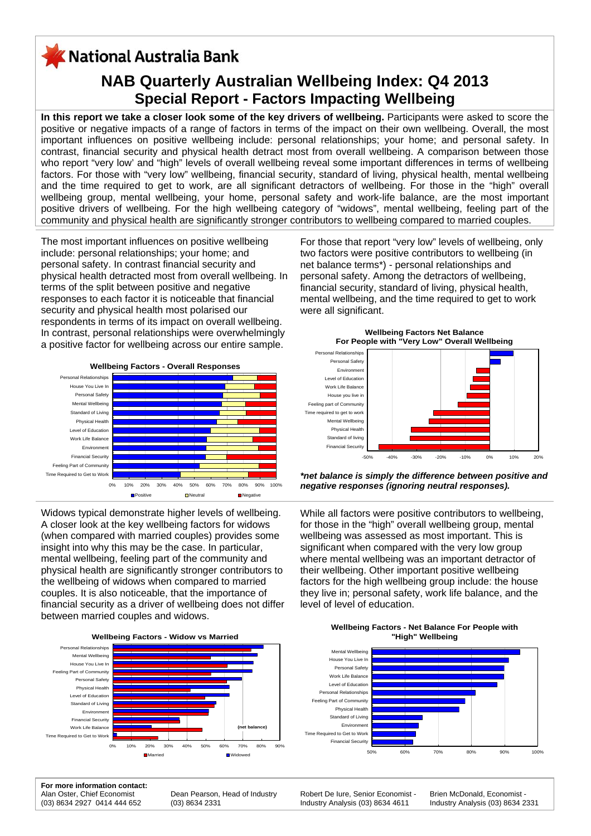## KNational Australia Bank

### **NAB Quarterly Australian Wellbeing Index: Q4 2013 Special Report - Factors Impacting Wellbeing**

**In this report we take a closer look some of the key drivers of wellbeing.** Participants were asked to score the positive or negative impacts of a range of factors in terms of the impact on their own wellbeing. Overall, the most important influences on positive wellbeing include: personal relationships; your home; and personal safety. In contrast, financial security and physical health detract most from overall wellbeing. A comparison between those who report "very low' and "high" levels of overall wellbeing reveal some important differences in terms of wellbeing factors. For those with "very low" wellbeing, financial security, standard of living, physical health, mental wellbeing and the time required to get to work, are all significant detractors of wellbeing. For those in the "high" overall wellbeing group, mental wellbeing, your home, personal safety and work-life balance, are the most important positive drivers of wellbeing. For the high wellbeing category of "widows", mental wellbeing, feeling part of the community and physical health are significantly stronger contributors to wellbeing compared to married couples.

The most important influences on positive wellbeing include: personal relationships; your home; and personal safety. In contrast financial security and physical health detracted most from overall wellbeing. In terms of the split between positive and negative responses to each factor it is noticeable that financial security and physical health most polarised our respondents in terms of its impact on overall wellbeing. In contrast, personal relationships were overwhelmingly a positive factor for wellbeing across our entire sample.



Widows typical demonstrate higher levels of wellbeing. A closer look at the key wellbeing factors for widows (when compared with married couples) provides some insight into why this may be the case. In particular, mental wellbeing, feeling part of the community and physical health are significantly stronger contributors to the wellbeing of widows when compared to married couples. It is also noticeable, that the importance of financial security as a driver of wellbeing does not differ between married couples and widows.





**For more information contact:** Alan Oster, Chief Economist (03) 8634 2927 0414 444 652

Dean Pearson, Head of Industry (03) 8634 2331

Robert De Iure, Senior Economist - Industry Analysis (03) 8634 4611

Brien McDonald, Economist - Industry Analysis (03) 8634 2331

For those that report "very low" levels of wellbeing, only two factors were positive contributors to wellbeing (in net balance terms\*) - personal relationships and personal safety. Among the detractors of wellbeing, financial security, standard of living, physical health, mental wellbeing, and the time required to get to work were all significant.



*\*net balance is simply the difference between positive and negative responses (ignoring neutral responses).* 

While all factors were positive contributors to wellbeing, for those in the "high" overall wellbeing group, mental wellbeing was assessed as most important. This is significant when compared with the very low group where mental wellbeing was an important detractor of their wellbeing. Other important positive wellbeing factors for the high wellbeing group include: the house they live in; personal safety, work life balance, and the level of level of education.



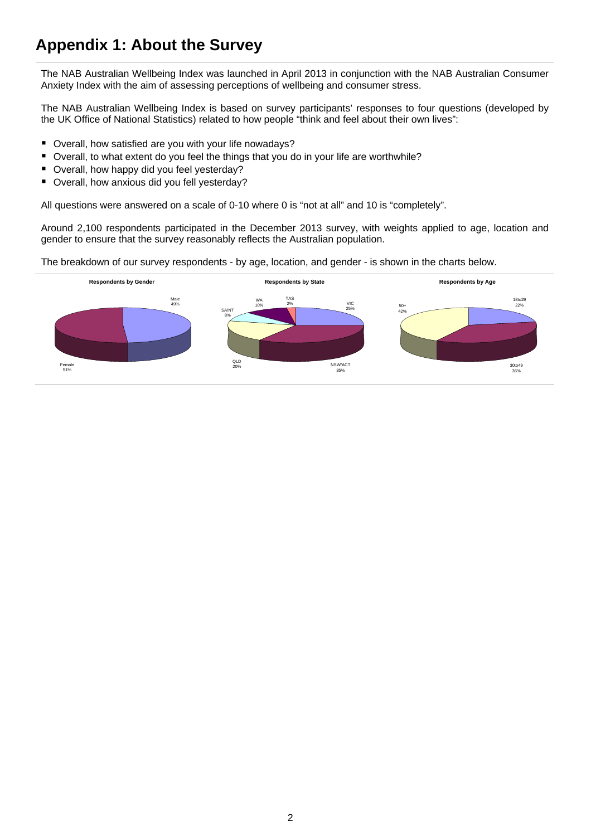## **Appendix 1: About the Survey**

The NAB Australian Wellbeing Index was launched in April 2013 in conjunction with the NAB Australian Consumer Anxiety Index with the aim of assessing perceptions of wellbeing and consumer stress.

The NAB Australian Wellbeing Index is based on survey participants' responses to four questions (developed by the UK Office of National Statistics) related to how people "think and feel about their own lives":

- Overall, how satisfied are you with your life nowadays?
- Overall, to what extent do you feel the things that you do in your life are worthwhile?
- Overall, how happy did you feel yesterday?
- Overall, how anxious did you fell yesterday?

All questions were answered on a scale of 0-10 where 0 is "not at all" and 10 is "completely".

Around 2,100 respondents participated in the December 2013 survey, with weights applied to age, location and gender to ensure that the survey reasonably reflects the Australian population.

The breakdown of our survey respondents - by age, location, and gender - is shown in the charts below.

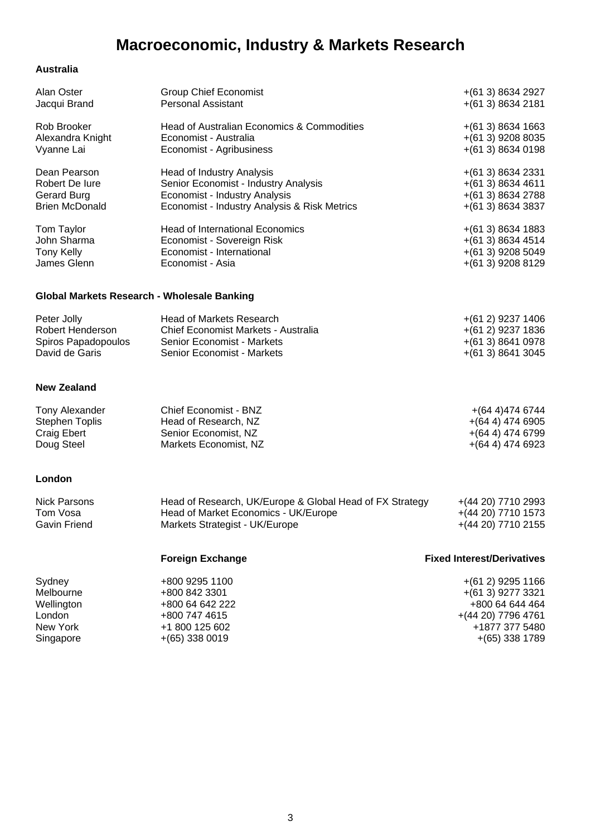# **Macroeconomic, Industry & Markets Research**

#### **Australia**

| Alan Oster                                  | <b>Group Chief Economist</b>                             | $+(613) 8634 2927$                |
|---------------------------------------------|----------------------------------------------------------|-----------------------------------|
| Jacqui Brand                                | <b>Personal Assistant</b>                                | $+(613) 8634 2181$                |
| Rob Brooker                                 | Head of Australian Economics & Commodities               | $+(613) 8634 1663$                |
| Alexandra Knight                            | Economist - Australia                                    | $+(613)$ 9208 8035                |
| Vyanne Lai                                  | Economist - Agribusiness                                 | $+(613) 8634 0198$                |
| Dean Pearson                                | Head of Industry Analysis                                | $+(613) 8634 2331$                |
| Robert De lure                              | Senior Economist - Industry Analysis                     | $+(613) 8634 4611$                |
| Gerard Burg                                 | Economist - Industry Analysis                            | $+(613) 8634 2788$                |
| <b>Brien McDonald</b>                       | Economist - Industry Analysis & Risk Metrics             | $+(613) 8634 3837$                |
| Tom Taylor                                  | <b>Head of International Economics</b>                   | $+(613) 8634 1883$                |
| John Sharma                                 | Economist - Sovereign Risk                               | $+(613) 8634 4514$                |
| <b>Tony Kelly</b>                           | Economist - International                                | $+(613)$ 9208 5049                |
| James Glenn                                 | Economist - Asia                                         | $+(613)$ 9208 8129                |
| Global Markets Research - Wholesale Banking |                                                          |                                   |
| Peter Jolly                                 | <b>Head of Markets Research</b>                          | $+(61 2) 9237 1406$               |
| Robert Henderson                            | Chief Economist Markets - Australia                      | $+(612)$ 9237 1836                |
| Spiros Papadopoulos                         | Senior Economist - Markets                               | $+(613) 8641 0978$                |
| David de Garis                              | Senior Economist - Markets                               | $+(613) 8641 3045$                |
| <b>New Zealand</b>                          |                                                          |                                   |
| Tony Alexander                              | Chief Economist - BNZ                                    | $+(644)4746744$                   |
| <b>Stephen Toplis</b>                       | Head of Research, NZ                                     | $+(644)$ 474 6905                 |
| Craig Ebert                                 | Senior Economist, NZ                                     | $+(644)$ 474 6799                 |
| Doug Steel                                  | Markets Economist, NZ                                    | $+(644)$ 474 6923                 |
| London                                      |                                                          |                                   |
| <b>Nick Parsons</b>                         | Head of Research, UK/Europe & Global Head of FX Strategy | $+(4420)$ 7710 2993               |
| Tom Vosa                                    | Head of Market Economics - UK/Europe                     | $+(4420)$ 7710 1573               |
| Gavin Friend                                | Markets Strategist - UK/Europe                           | +(44 20) 7710 2155                |
|                                             | <b>Foreign Exchange</b>                                  | <b>Fixed Interest/Derivatives</b> |
| Sydney                                      | +800 9295 1100                                           | $+(612)$ 9295 1166                |
| Melbourne                                   | +800 842 3301                                            | $+(613)$ 9277 3321                |
| Wellington                                  | +800 64 642 222                                          | +800 64 644 464                   |
| London                                      | +800 747 4615                                            | $+(4420)$ 7796 4761               |
| New York                                    | +1 800 125 602                                           | +1877 377 5480                    |
| Singapore                                   | $+(65)$ 338 0019                                         | $+(65)$ 338 1789                  |